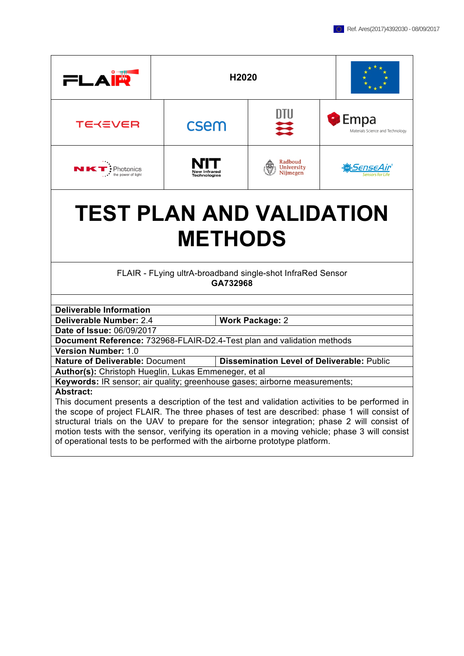| $=$ $\Delta$                                                                                    | H2020                                      |                                                   |  |                                                   |  |
|-------------------------------------------------------------------------------------------------|--------------------------------------------|---------------------------------------------------|--|---------------------------------------------------|--|
| <b>TEKEVER</b>                                                                                  | csem                                       | DTU<br>₩                                          |  | <b>C</b> Empa<br>Materials Science and Technology |  |
| $\cdot$ Photonics<br>the power of light                                                         | <b>New Infrared</b><br><b>Technologies</b> | Radboud<br>University<br>Nijmegen                 |  | SenseAır                                          |  |
| <b>TEST PLAN AND VALIDATION</b><br><b>METHODS</b>                                               |                                            |                                                   |  |                                                   |  |
| FLAIR - FLying ultrA-broadband single-shot InfraRed Sensor<br>GA732968                          |                                            |                                                   |  |                                                   |  |
| <b>Deliverable Information</b>                                                                  |                                            |                                                   |  |                                                   |  |
| Deliverable Number: 2.4<br><b>Work Package: 2</b>                                               |                                            |                                                   |  |                                                   |  |
| Date of Issue: 06/09/2017                                                                       |                                            |                                                   |  |                                                   |  |
| Document Reference: 732968-FLAIR-D2.4-Test plan and validation methods                          |                                            |                                                   |  |                                                   |  |
| <b>Version Number: 1.0</b>                                                                      |                                            |                                                   |  |                                                   |  |
| <b>Nature of Deliverable: Document</b>                                                          |                                            | <b>Dissemination Level of Deliverable: Public</b> |  |                                                   |  |
| Author(s): Christoph Hueglin, Lukas Emmeneger, et al                                            |                                            |                                                   |  |                                                   |  |
| Keywords: IR sensor; air quality; greenhouse gases; airborne measurements;<br>Abstract:         |                                            |                                                   |  |                                                   |  |
| This document presents a description of the test and validation activities to be performed in   |                                            |                                                   |  |                                                   |  |
| the scope of project FLAIR. The three phases of test are described: phase 1 will consist of     |                                            |                                                   |  |                                                   |  |
| structural trials on the UAV to prepare for the sensor integration; phase 2 will consist of     |                                            |                                                   |  |                                                   |  |
| motion tests with the sensor, verifying its operation in a moving vehicle; phase 3 will consist |                                            |                                                   |  |                                                   |  |
| of operational tests to be performed with the airborne prototype platform.                      |                                            |                                                   |  |                                                   |  |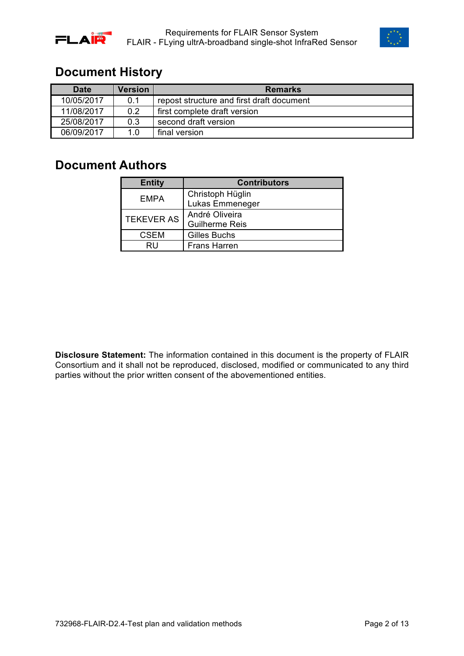



### **Document History**

| <b>Date</b> | <b>Version</b> | <b>Remarks</b>                            |
|-------------|----------------|-------------------------------------------|
| 10/05/2017  | 0.1            | repost structure and first draft document |
| 11/08/2017  | 0.2            | first complete draft version              |
| 25/08/2017  | 0.3            | second draft version                      |
| 06/09/2017  | 1 በ            | final version                             |

### **Document Authors**

| <b>Entity</b>     | <b>Contributors</b>   |  |
|-------------------|-----------------------|--|
| <b>EMPA</b>       | Christoph Hüglin      |  |
|                   | Lukas Emmeneger       |  |
| <b>TEKEVER AS</b> | André Oliveira        |  |
|                   | <b>Guilherme Reis</b> |  |
| <b>CSEM</b>       | Gilles Buchs          |  |
| RIJ               | <b>Frans Harren</b>   |  |

**Disclosure Statement:** The information contained in this document is the property of FLAIR Consortium and it shall not be reproduced, disclosed, modified or communicated to any third parties without the prior written consent of the abovementioned entities.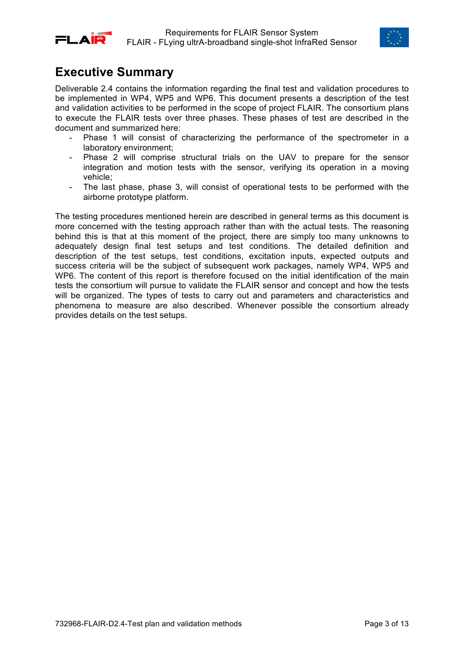



### **Executive Summary**

Deliverable 2.4 contains the information regarding the final test and validation procedures to be implemented in WP4, WP5 and WP6. This document presents a description of the test and validation activities to be performed in the scope of project FLAIR. The consortium plans to execute the FLAIR tests over three phases. These phases of test are described in the document and summarized here:

- Phase 1 will consist of characterizing the performance of the spectrometer in a laboratory environment;
- Phase 2 will comprise structural trials on the UAV to prepare for the sensor integration and motion tests with the sensor, verifying its operation in a moving vehicle;
- The last phase, phase 3, will consist of operational tests to be performed with the airborne prototype platform.

The testing procedures mentioned herein are described in general terms as this document is more concerned with the testing approach rather than with the actual tests. The reasoning behind this is that at this moment of the project, there are simply too many unknowns to adequately design final test setups and test conditions. The detailed definition and description of the test setups, test conditions, excitation inputs, expected outputs and success criteria will be the subject of subsequent work packages, namely WP4, WP5 and WP6. The content of this report is therefore focused on the initial identification of the main tests the consortium will pursue to validate the FLAIR sensor and concept and how the tests will be organized. The types of tests to carry out and parameters and characteristics and phenomena to measure are also described. Whenever possible the consortium already provides details on the test setups.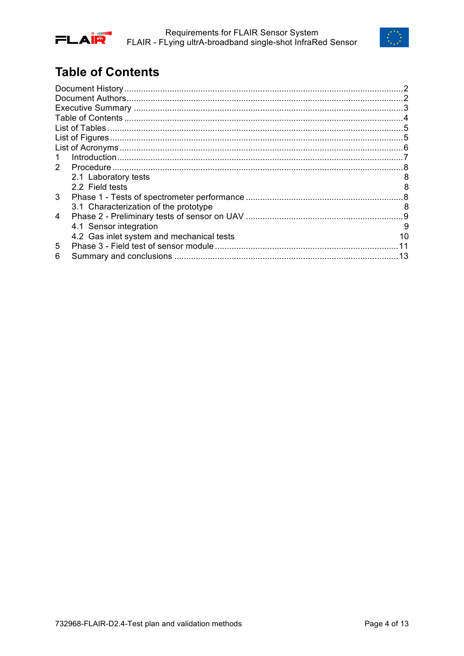



# **Table of Contents**

| 1            |                                           |    |
|--------------|-------------------------------------------|----|
| $\mathbf{2}$ |                                           |    |
|              | 2.1 Laboratory tests                      |    |
|              | 2.2 Field tests                           |    |
| 3            |                                           |    |
|              | 3.1 Characterization of the prototype     | 8  |
| 4            |                                           |    |
|              | 4.1 Sensor integration                    | 9  |
|              | 4.2 Gas inlet system and mechanical tests | 10 |
| 5            |                                           |    |
| 6            |                                           |    |
|              |                                           |    |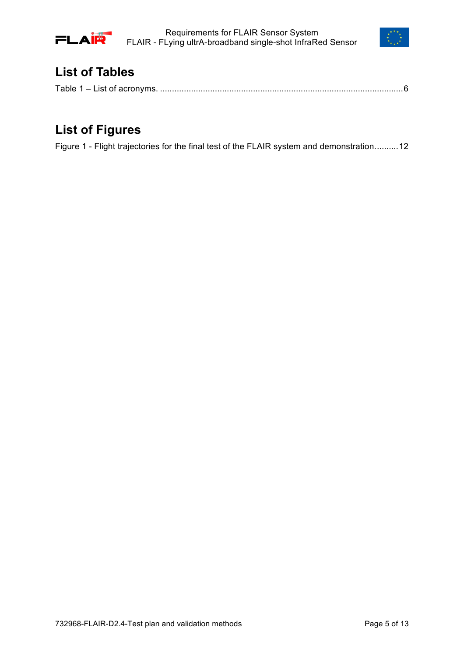

Requirements for FLAIR Sensor System FLAIR - FLying ultrA-broadband single-shot InfraRed Sensor



### **List of Tables**

# **List of Figures**

Figure 1 - Flight trajectories for the final test of the FLAIR system and demonstration..........12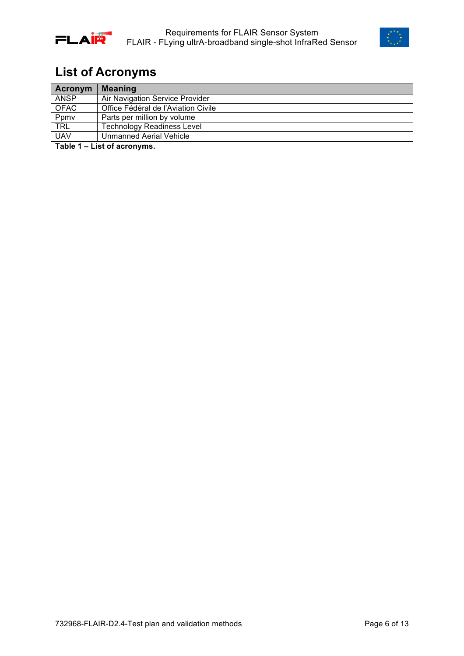



# **List of Acronyms**

| Acronym     | <b>Meaning</b>                      |
|-------------|-------------------------------------|
| <b>ANSP</b> | Air Navigation Service Provider     |
| <b>OFAC</b> | Office Fédéral de l'Aviation Civile |
| Ppmv        | Parts per million by volume         |
| <b>TRL</b>  | <b>Technology Readiness Level</b>   |
| <b>UAV</b>  | Unmanned Aerial Vehicle             |

**Table 1 – List of acronyms.**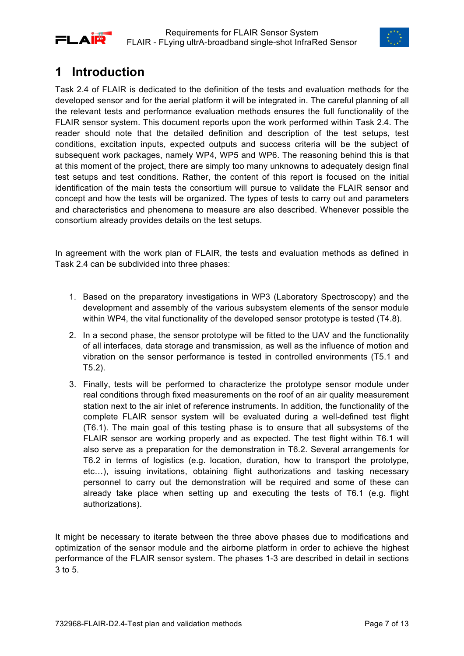



## **1 Introduction**

Task 2.4 of FLAIR is dedicated to the definition of the tests and evaluation methods for the developed sensor and for the aerial platform it will be integrated in. The careful planning of all the relevant tests and performance evaluation methods ensures the full functionality of the FLAIR sensor system. This document reports upon the work performed within Task 2.4. The reader should note that the detailed definition and description of the test setups, test conditions, excitation inputs, expected outputs and success criteria will be the subject of subsequent work packages, namely WP4, WP5 and WP6. The reasoning behind this is that at this moment of the project, there are simply too many unknowns to adequately design final test setups and test conditions. Rather, the content of this report is focused on the initial identification of the main tests the consortium will pursue to validate the FLAIR sensor and concept and how the tests will be organized. The types of tests to carry out and parameters and characteristics and phenomena to measure are also described. Whenever possible the consortium already provides details on the test setups.

In agreement with the work plan of FLAIR, the tests and evaluation methods as defined in Task 2.4 can be subdivided into three phases:

- 1. Based on the preparatory investigations in WP3 (Laboratory Spectroscopy) and the development and assembly of the various subsystem elements of the sensor module within WP4, the vital functionality of the developed sensor prototype is tested (T4.8).
- 2. In a second phase, the sensor prototype will be fitted to the UAV and the functionality of all interfaces, data storage and transmission, as well as the influence of motion and vibration on the sensor performance is tested in controlled environments (T5.1 and T5.2).
- 3. Finally, tests will be performed to characterize the prototype sensor module under real conditions through fixed measurements on the roof of an air quality measurement station next to the air inlet of reference instruments. In addition, the functionality of the complete FLAIR sensor system will be evaluated during a well-defined test flight (T6.1). The main goal of this testing phase is to ensure that all subsystems of the FLAIR sensor are working properly and as expected. The test flight within T6.1 will also serve as a preparation for the demonstration in T6.2. Several arrangements for T6.2 in terms of logistics (e.g. location, duration, how to transport the prototype, etc…), issuing invitations, obtaining flight authorizations and tasking necessary personnel to carry out the demonstration will be required and some of these can already take place when setting up and executing the tests of T6.1 (e.g. flight authorizations).

It might be necessary to iterate between the three above phases due to modifications and optimization of the sensor module and the airborne platform in order to achieve the highest performance of the FLAIR sensor system. The phases 1-3 are described in detail in sections 3 to 5.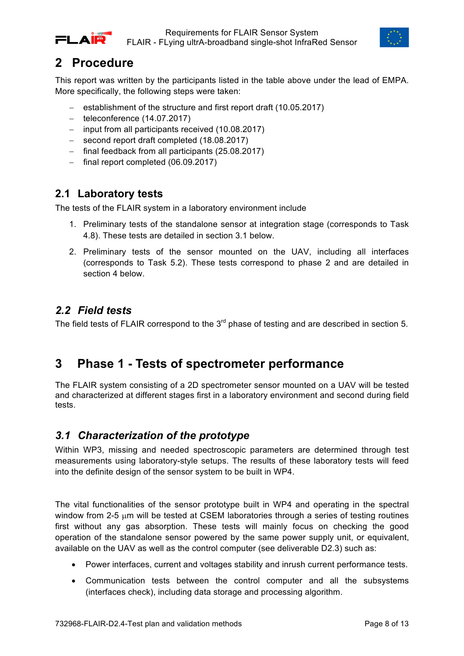



## **2 Procedure**

This report was written by the participants listed in the table above under the lead of EMPA. More specifically, the following steps were taken:

- establishment of the structure and first report draft (10.05.2017)
- teleconference (14.07.2017)
- input from all participants received (10.08.2017)
- second report draft completed (18.08.2017)
- final feedback from all participants (25.08.2017)
- final report completed (06.09.2017)

### **2.1 Laboratory tests**

The tests of the FLAIR system in a laboratory environment include

- 1. Preliminary tests of the standalone sensor at integration stage (corresponds to Task 4.8). These tests are detailed in section 3.1 below.
- 2. Preliminary tests of the sensor mounted on the UAV, including all interfaces (corresponds to Task 5.2). These tests correspond to phase 2 and are detailed in section 4 below.

### *2.2 Field tests*

The field tests of FLAIR correspond to the  $3<sup>rd</sup>$  phase of testing and are described in section 5.

### **3 Phase 1 - Tests of spectrometer performance**

The FLAIR system consisting of a 2D spectrometer sensor mounted on a UAV will be tested and characterized at different stages first in a laboratory environment and second during field tests.

### *3.1 Characterization of the prototype*

Within WP3, missing and needed spectroscopic parameters are determined through test measurements using laboratory-style setups. The results of these laboratory tests will feed into the definite design of the sensor system to be built in WP4.

The vital functionalities of the sensor prototype built in WP4 and operating in the spectral window from 2-5  $\mu$ m will be tested at CSEM laboratories through a series of testing routines first without any gas absorption. These tests will mainly focus on checking the good operation of the standalone sensor powered by the same power supply unit, or equivalent, available on the UAV as well as the control computer (see deliverable D2.3) such as:

- Power interfaces, current and voltages stability and inrush current performance tests.
- Communication tests between the control computer and all the subsystems (interfaces check), including data storage and processing algorithm.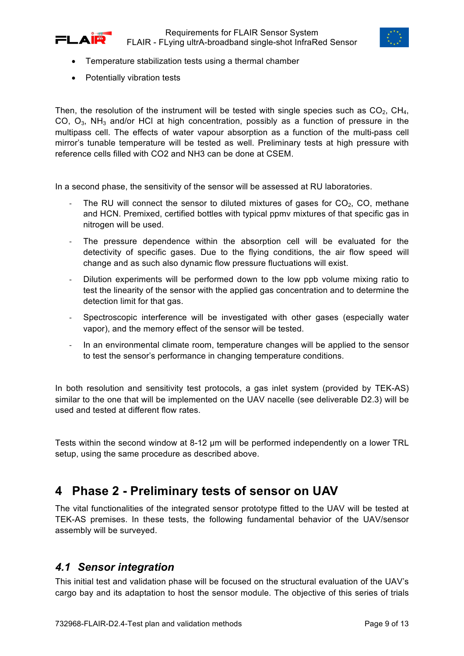



- Temperature stabilization tests using a thermal chamber
- Potentially vibration tests

Then, the resolution of the instrument will be tested with single species such as  $CO<sub>2</sub>$ , CH<sub>4</sub>, CO,  $O_3$ , NH<sub>3</sub> and/or HCl at high concentration, possibly as a function of pressure in the multipass cell. The effects of water vapour absorption as a function of the multi-pass cell mirror's tunable temperature will be tested as well. Preliminary tests at high pressure with reference cells filled with CO2 and NH3 can be done at CSEM.

In a second phase, the sensitivity of the sensor will be assessed at RU laboratories.

- The RU will connect the sensor to diluted mixtures of gases for  $CO<sub>2</sub>$ , CO, methane and HCN. Premixed, certified bottles with typical ppmv mixtures of that specific gas in nitrogen will be used.
- The pressure dependence within the absorption cell will be evaluated for the detectivity of specific gases. Due to the flying conditions, the air flow speed will change and as such also dynamic flow pressure fluctuations will exist.
- Dilution experiments will be performed down to the low ppb volume mixing ratio to test the linearity of the sensor with the applied gas concentration and to determine the detection limit for that gas.
- Spectroscopic interference will be investigated with other gases (especially water vapor), and the memory effect of the sensor will be tested.
- In an environmental climate room, temperature changes will be applied to the sensor to test the sensor's performance in changing temperature conditions.

In both resolution and sensitivity test protocols, a gas inlet system (provided by TEK-AS) similar to the one that will be implemented on the UAV nacelle (see deliverable D2.3) will be used and tested at different flow rates.

Tests within the second window at 8-12 μm will be performed independently on a lower TRL setup, using the same procedure as described above.

### **4 Phase 2 - Preliminary tests of sensor on UAV**

The vital functionalities of the integrated sensor prototype fitted to the UAV will be tested at TEK-AS premises. In these tests, the following fundamental behavior of the UAV/sensor assembly will be surveyed.

#### *4.1 Sensor integration*

This initial test and validation phase will be focused on the structural evaluation of the UAV's cargo bay and its adaptation to host the sensor module. The objective of this series of trials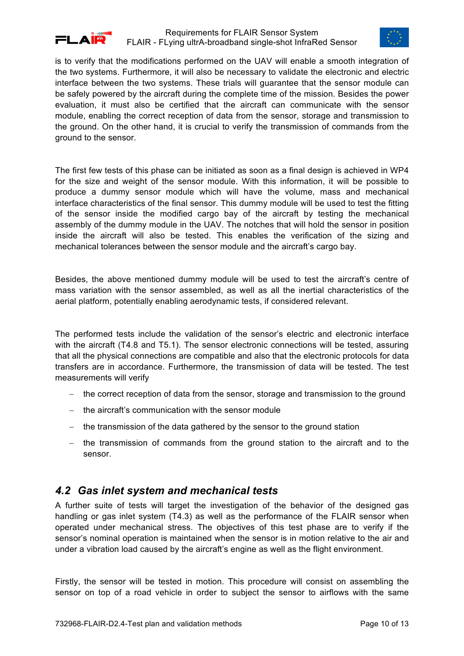



is to verify that the modifications performed on the UAV will enable a smooth integration of the two systems. Furthermore, it will also be necessary to validate the electronic and electric interface between the two systems. These trials will guarantee that the sensor module can be safely powered by the aircraft during the complete time of the mission. Besides the power evaluation, it must also be certified that the aircraft can communicate with the sensor module, enabling the correct reception of data from the sensor, storage and transmission to the ground. On the other hand, it is crucial to verify the transmission of commands from the ground to the sensor.

The first few tests of this phase can be initiated as soon as a final design is achieved in WP4 for the size and weight of the sensor module. With this information, it will be possible to produce a dummy sensor module which will have the volume, mass and mechanical interface characteristics of the final sensor. This dummy module will be used to test the fitting of the sensor inside the modified cargo bay of the aircraft by testing the mechanical assembly of the dummy module in the UAV. The notches that will hold the sensor in position inside the aircraft will also be tested. This enables the verification of the sizing and mechanical tolerances between the sensor module and the aircraft's cargo bay.

Besides, the above mentioned dummy module will be used to test the aircraft's centre of mass variation with the sensor assembled, as well as all the inertial characteristics of the aerial platform, potentially enabling aerodynamic tests, if considered relevant.

The performed tests include the validation of the sensor's electric and electronic interface with the aircraft (T4.8 and T5.1). The sensor electronic connections will be tested, assuring that all the physical connections are compatible and also that the electronic protocols for data transfers are in accordance. Furthermore, the transmission of data will be tested. The test measurements will verify

- the correct reception of data from the sensor, storage and transmission to the ground
- the aircraft's communication with the sensor module
- the transmission of the data gathered by the sensor to the ground station
- the transmission of commands from the ground station to the aircraft and to the sensor.

#### *4.2 Gas inlet system and mechanical tests*

A further suite of tests will target the investigation of the behavior of the designed gas handling or gas inlet system (T4.3) as well as the performance of the FLAIR sensor when operated under mechanical stress. The objectives of this test phase are to verify if the sensor's nominal operation is maintained when the sensor is in motion relative to the air and under a vibration load caused by the aircraft's engine as well as the flight environment.

Firstly, the sensor will be tested in motion. This procedure will consist on assembling the sensor on top of a road vehicle in order to subject the sensor to airflows with the same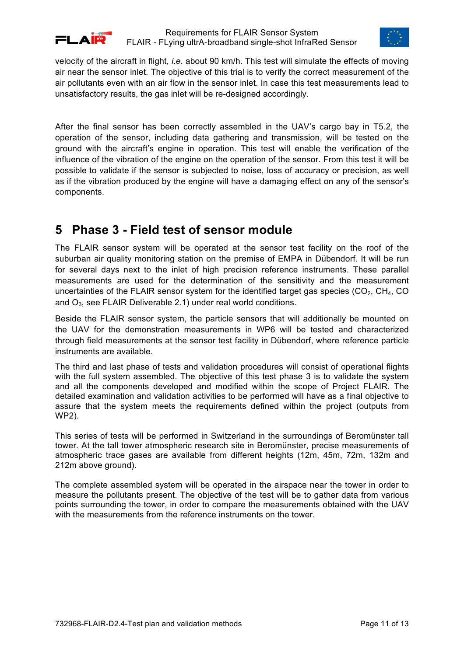



velocity of the aircraft in flight, *i*.*e*. about 90 km/h. This test will simulate the effects of moving air near the sensor inlet. The objective of this trial is to verify the correct measurement of the air pollutants even with an air flow in the sensor inlet. In case this test measurements lead to unsatisfactory results, the gas inlet will be re-designed accordingly.

After the final sensor has been correctly assembled in the UAV's cargo bay in T5.2, the operation of the sensor, including data gathering and transmission, will be tested on the ground with the aircraft's engine in operation. This test will enable the verification of the influence of the vibration of the engine on the operation of the sensor. From this test it will be possible to validate if the sensor is subjected to noise, loss of accuracy or precision, as well as if the vibration produced by the engine will have a damaging effect on any of the sensor's components.

### **5 Phase 3 - Field test of sensor module**

The FLAIR sensor system will be operated at the sensor test facility on the roof of the suburban air quality monitoring station on the premise of EMPA in Dübendorf. It will be run for several days next to the inlet of high precision reference instruments. These parallel measurements are used for the determination of the sensitivity and the measurement uncertainties of the FLAIR sensor system for the identified target gas species  $(CO<sub>2</sub>, CH<sub>4</sub>, CO)$ and  $O_3$ , see FLAIR Deliverable 2.1) under real world conditions.

Beside the FLAIR sensor system, the particle sensors that will additionally be mounted on the UAV for the demonstration measurements in WP6 will be tested and characterized through field measurements at the sensor test facility in Dübendorf, where reference particle instruments are available.

The third and last phase of tests and validation procedures will consist of operational flights with the full system assembled. The objective of this test phase 3 is to validate the system and all the components developed and modified within the scope of Project FLAIR. The detailed examination and validation activities to be performed will have as a final objective to assure that the system meets the requirements defined within the project (outputs from WP2).

This series of tests will be performed in Switzerland in the surroundings of Beromünster tall tower. At the tall tower atmospheric research site in Beromünster, precise measurements of atmospheric trace gases are available from different heights (12m, 45m, 72m, 132m and 212m above ground).

The complete assembled system will be operated in the airspace near the tower in order to measure the pollutants present. The objective of the test will be to gather data from various points surrounding the tower, in order to compare the measurements obtained with the UAV with the measurements from the reference instruments on the tower.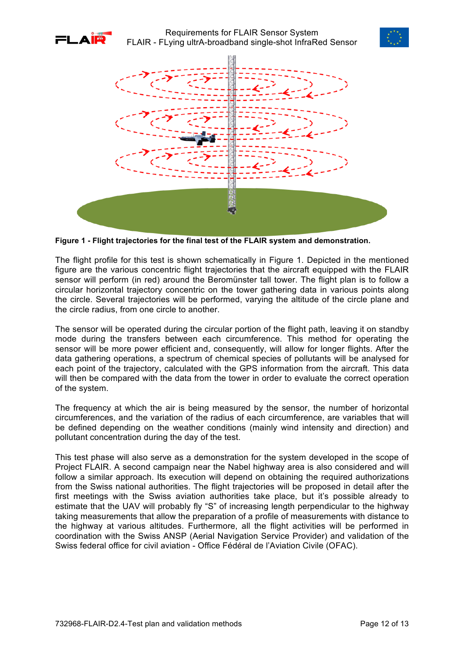





**Figure 1 - Flight trajectories for the final test of the FLAIR system and demonstration.**

The flight profile for this test is shown schematically in Figure 1. Depicted in the mentioned figure are the various concentric flight trajectories that the aircraft equipped with the FLAIR sensor will perform (in red) around the Beromünster tall tower. The flight plan is to follow a circular horizontal trajectory concentric on the tower gathering data in various points along the circle. Several trajectories will be performed, varying the altitude of the circle plane and the circle radius, from one circle to another.

The sensor will be operated during the circular portion of the flight path, leaving it on standby mode during the transfers between each circumference. This method for operating the sensor will be more power efficient and, consequently, will allow for longer flights. After the data gathering operations, a spectrum of chemical species of pollutants will be analysed for each point of the trajectory, calculated with the GPS information from the aircraft. This data will then be compared with the data from the tower in order to evaluate the correct operation of the system.

The frequency at which the air is being measured by the sensor, the number of horizontal circumferences, and the variation of the radius of each circumference, are variables that will be defined depending on the weather conditions (mainly wind intensity and direction) and pollutant concentration during the day of the test.

This test phase will also serve as a demonstration for the system developed in the scope of Project FLAIR. A second campaign near the Nabel highway area is also considered and will follow a similar approach. Its execution will depend on obtaining the required authorizations from the Swiss national authorities. The flight trajectories will be proposed in detail after the first meetings with the Swiss aviation authorities take place, but it's possible already to estimate that the UAV will probably fly "S" of increasing length perpendicular to the highway taking measurements that allow the preparation of a profile of measurements with distance to the highway at various altitudes. Furthermore, all the flight activities will be performed in coordination with the Swiss ANSP (Aerial Navigation Service Provider) and validation of the Swiss federal office for civil aviation - Office Fédéral de l'Aviation Civile (OFAC).